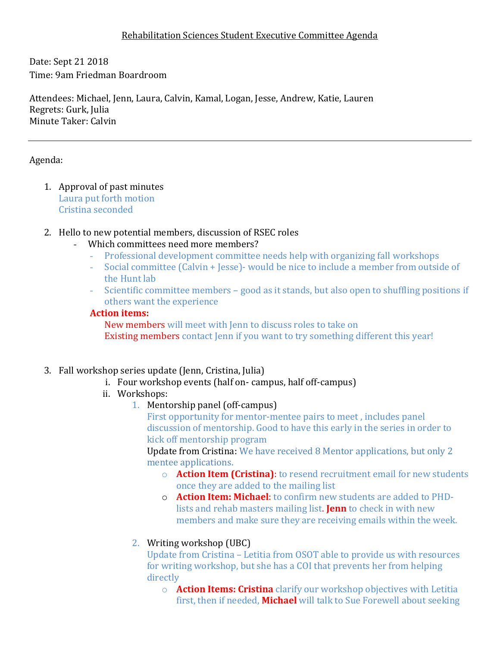## Rehabilitation Sciences Student Executive Committee Agenda

Date: Sept 21 2018 Time: 9am Friedman Boardroom

Attendees: Michael, Jenn, Laura, Calvin, Kamal, Logan, Jesse, Andrew, Katie, Lauren Regrets: Gurk, Julia Minute Taker: Calvin

## Agenda:

- 1. Approval of past minutes Laura put forth motion Cristina seconded
- 2. Hello to new potential members, discussion of RSEC roles
	- Which committees need more members?
		- Professional development committee needs help with organizing fall workshops
		- Social committee (Calvin + Jesse)- would be nice to include a member from outside of the Hunt lab
		- Scientific committee members good as it stands, but also open to shuffling positions if others want the experience

#### **Action items:**

New members will meet with Jenn to discuss roles to take on Existing members contact Jenn if you want to try something different this year!

- 3. Fall workshop series update (Jenn, Cristina, Julia)
	- i. Four workshop events (half on- campus, half off-campus)
	- ii. Workshops:
		- 1. Mentorship panel (off-campus)

First opportunity for mentor-mentee pairs to meet , includes panel discussion of mentorship. Good to have this early in the series in order to kick off mentorship program

Update from Cristina: We have received 8 Mentor applications, but only 2 mentee applications.

- o **Action Item (Cristina)**: to resend recruitment email for new students once they are added to the mailing list
- o **Action Item: Michael**: to confirm new students are added to PHDlists and rehab masters mailing list. **Jenn** to check in with new members and make sure they are receiving emails within the week.
- 2. Writing workshop (UBC)

Update from Cristina – Letitia from OSOT able to provide us with resources for writing workshop, but she has a COI that prevents her from helping directly

o **Action Items: Cristina** clarify our workshop objectives with Letitia first, then if needed, **Michael** will talk to Sue Forewell about seeking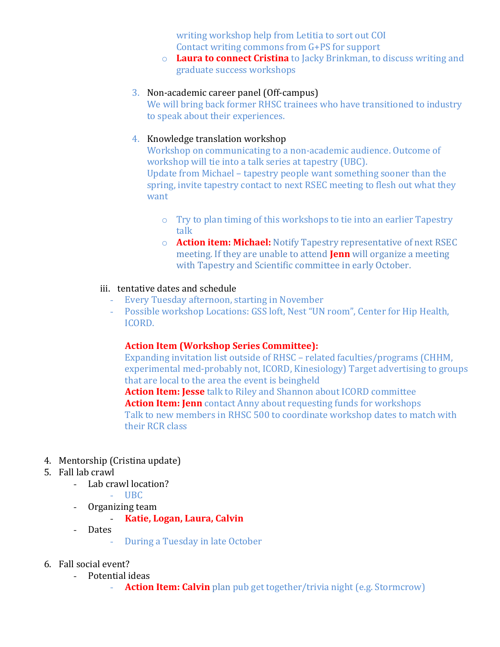writing workshop help from Letitia to sort out COI Contact writing commons from G+PS for support

o **Laura to connect Cristina** to Jacky Brinkman, to discuss writing and graduate success workshops

## 3. Non-academic career panel (Off-campus)

We will bring back former RHSC trainees who have transitioned to industry to speak about their experiences.

## 4. Knowledge translation workshop

Workshop on communicating to a non-academic audience. Outcome of workshop will tie into a talk series at tapestry (UBC). Update from Michael – tapestry people want something sooner than the spring, invite tapestry contact to next RSEC meeting to flesh out what they want

- o Try to plan timing of this workshops to tie into an earlier Tapestry talk
- o **Action item: Michael:** Notify Tapestry representative of next RSEC meeting. If they are unable to attend **Jenn** will organize a meeting with Tapestry and Scientific committee in early October.

#### iii. tentative dates and schedule

- Every Tuesday afternoon, starting in November
- Possible workshop Locations: GSS loft, Nest "UN room", Center for Hip Health, ICORD.

# **Action Item (Workshop Series Committee):**

Expanding invitation list outside of RHSC – related faculties/programs (CHHM, experimental med-probably not, ICORD, Kinesiology) Target advertising to groups that are local to the area the event is beingheld

**Action Item: Jesse** talk to Riley and Shannon about ICORD committee **Action Item: Jenn** contact Anny about requesting funds for workshops Talk to new members in RHSC 500 to coordinate workshop dates to match with their RCR class

- 4. Mentorship (Cristina update)
- 5. Fall lab crawl
	- Lab crawl location?
		- UBC
	- Organizing team
		- **Katie, Logan, Laura, Calvin**
	- Dates
		- During a Tuesday in late October
- 6. Fall social event?
	- Potential ideas
		- Action Item: Calvin plan pub get together/trivia night (e.g. Stormcrow)